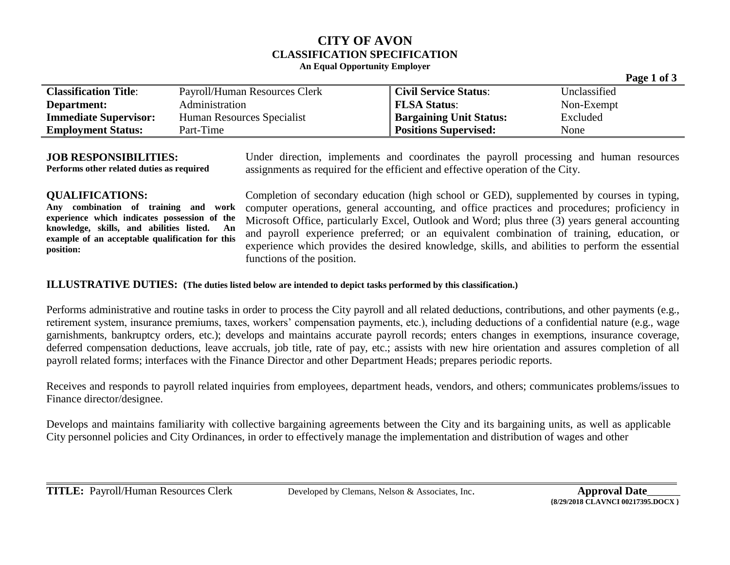# **CITY OF AVON CLASSIFICATION SPECIFICATION**

#### **An Equal Opportunity Employer**

|                              |                               |                                | $     -$     |
|------------------------------|-------------------------------|--------------------------------|--------------|
| <b>Classification Title:</b> | Payroll/Human Resources Clerk | <b>Civil Service Status:</b>   | Unclassified |
| Department:                  | Administration                | <b>FLSA Status:</b>            | Non-Exempt   |
| <b>Immediate Supervisor:</b> | Human Resources Specialist    | <b>Bargaining Unit Status:</b> | Excluded     |
| <b>Employment Status:</b>    | Part-Time                     | <b>Positions Supervised:</b>   | None         |

#### **JOB RESPONSIBILITIES:**

**Performs other related duties as required**

Under direction, implements and coordinates the payroll processing and human resources assignments as required for the efficient and effective operation of the City.

# **QUALIFICATIONS:**

**Any combination of training and work experience which indicates possession of the knowledge, skills, and abilities listed. An example of an acceptable qualification for this position:**

Completion of secondary education (high school or GED), supplemented by courses in typing, computer operations, general accounting, and office practices and procedures; proficiency in Microsoft Office, particularly Excel, Outlook and Word; plus three (3) years general accounting and payroll experience preferred; or an equivalent combination of training, education, or experience which provides the desired knowledge, skills, and abilities to perform the essential functions of the position.

### **ILLUSTRATIVE DUTIES: (The duties listed below are intended to depict tasks performed by this classification.)**

Performs administrative and routine tasks in order to process the City payroll and all related deductions, contributions, and other payments (e.g., retirement system, insurance premiums, taxes, workers' compensation payments, etc.), including deductions of a confidential nature (e.g., wage garnishments, bankruptcy orders, etc.); develops and maintains accurate payroll records; enters changes in exemptions, insurance coverage, deferred compensation deductions, leave accruals, job title, rate of pay, etc.; assists with new hire orientation and assures completion of all payroll related forms; interfaces with the Finance Director and other Department Heads; prepares periodic reports.

Receives and responds to payroll related inquiries from employees, department heads, vendors, and others; communicates problems/issues to Finance director/designee.

Develops and maintains familiarity with collective bargaining agreements between the City and its bargaining units, as well as applicable City personnel policies and City Ordinances, in order to effectively manage the implementation and distribution of wages and other

 **Page 1 of 3**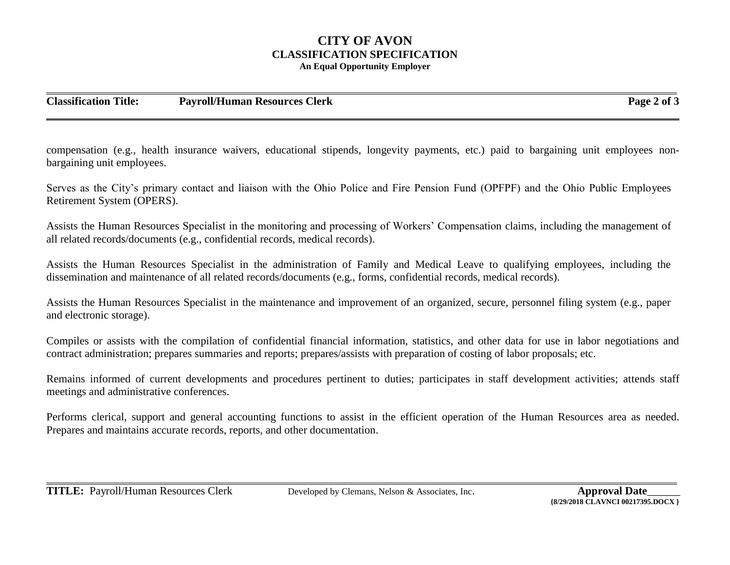# **CITY OF AVON CLASSIFICATION SPECIFICATION An Equal Opportunity Employer**

**Classification Title: Payroll/Human Resources Clerk Page 2 of 3**

compensation (e.g., health insurance waivers, educational stipends, longevity payments, etc.) paid to bargaining unit employees nonbargaining unit employees.

Serves as the City's primary contact and liaison with the Ohio Police and Fire Pension Fund (OPFPF) and the Ohio Public Employees Retirement System (OPERS).

Assists the Human Resources Specialist in the monitoring and processing of Workers' Compensation claims, including the management of all related records/documents (e.g., confidential records, medical records).

Assists the Human Resources Specialist in the administration of Family and Medical Leave to qualifying employees, including the dissemination and maintenance of all related records/documents (e.g., forms, confidential records, medical records).

Assists the Human Resources Specialist in the maintenance and improvement of an organized, secure, personnel filing system (e.g., paper and electronic storage).

Compiles or assists with the compilation of confidential financial information, statistics, and other data for use in labor negotiations and contract administration; prepares summaries and reports; prepares/assists with preparation of costing of labor proposals; etc.

Remains informed of current developments and procedures pertinent to duties; participates in staff development activities; attends staff meetings and administrative conferences.

Performs clerical, support and general accounting functions to assist in the efficient operation of the Human Resources area as needed. Prepares and maintains accurate records, reports, and other documentation.